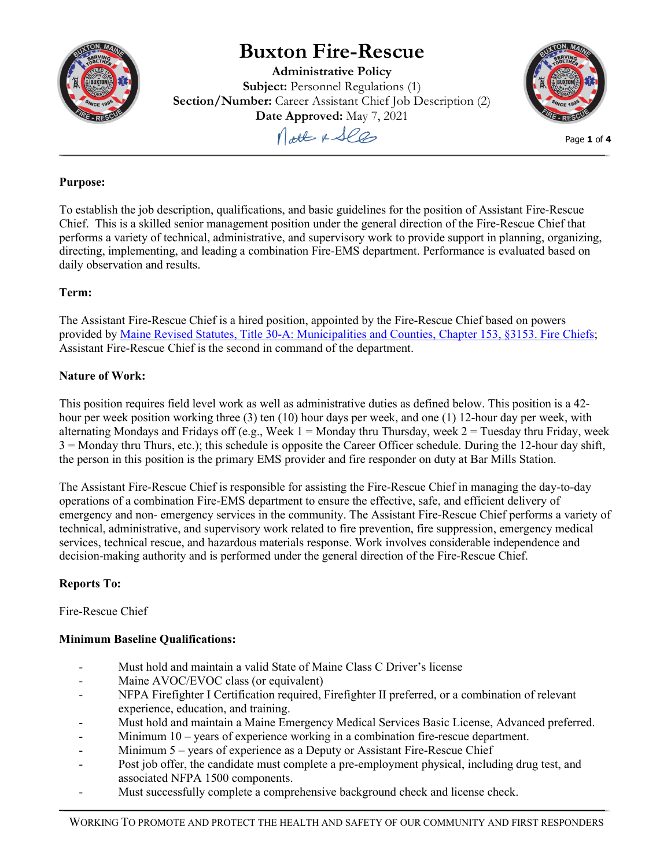

# **Buxton Fire-Rescue**

**Administrative Policy Subject:** Personnel Regulations (1) **Section/Number:** Career Assistant Chief Job Description (2) **Date Approved:** May 7, 2021





Page **1** of **4**

## **Purpose:**

To establish the job description, qualifications, and basic guidelines for the position of Assistant Fire-Rescue Chief. This is a skilled senior management position under the general direction of the Fire-Rescue Chief that performs a variety of technical, administrative, and supervisory work to provide support in planning, organizing, directing, implementing, and leading a combination Fire-EMS department. Performance is evaluated based on daily observation and results.

# **Term:**

The Assistant Fire-Rescue Chief is a hired position, appointed by the Fire-Rescue Chief based on powers provided by [Maine Revised Statutes, Title 30-A: Municipalities and Counties, Chapter 153, §3153. Fire Chiefs;](http://www.mainelegislature.org/legis/statutes/30-a/title30-Asec3153.pdf) Assistant Fire-Rescue Chief is the second in command of the department.

# **Nature of Work:**

This position requires field level work as well as administrative duties as defined below. This position is a 42 hour per week position working three (3) ten (10) hour days per week, and one (1) 12-hour day per week, with alternating Mondays and Fridays off (e.g., Week  $1 =$  Monday thru Thursday, week  $2 =$  Tuesday thru Friday, week 3 = Monday thru Thurs, etc.); this schedule is opposite the Career Officer schedule. During the 12-hour day shift, the person in this position is the primary EMS provider and fire responder on duty at Bar Mills Station.

The Assistant Fire-Rescue Chief is responsible for assisting the Fire-Rescue Chief in managing the day-to-day operations of a combination Fire-EMS department to ensure the effective, safe, and efficient delivery of emergency and non- emergency services in the community. The Assistant Fire-Rescue Chief performs a variety of technical, administrative, and supervisory work related to fire prevention, fire suppression, emergency medical services, technical rescue, and hazardous materials response. Work involves considerable independence and decision-making authority and is performed under the general direction of the Fire-Rescue Chief.

## **Reports To:**

Fire-Rescue Chief

# **Minimum Baseline Qualifications:**

- Must hold and maintain a valid State of Maine Class C Driver's license
- Maine AVOC/EVOC class (or equivalent)
- NFPA Firefighter I Certification required, Firefighter II preferred, or a combination of relevant experience, education, and training.
- Must hold and maintain a Maine Emergency Medical Services Basic License, Advanced preferred.
- Minimum 10 years of experience working in a combination fire-rescue department.
- Minimum  $5$  years of experience as a Deputy or Assistant Fire-Rescue Chief
- Post job offer, the candidate must complete a pre-employment physical, including drug test, and associated NFPA 1500 components.
- Must successfully complete a comprehensive background check and license check.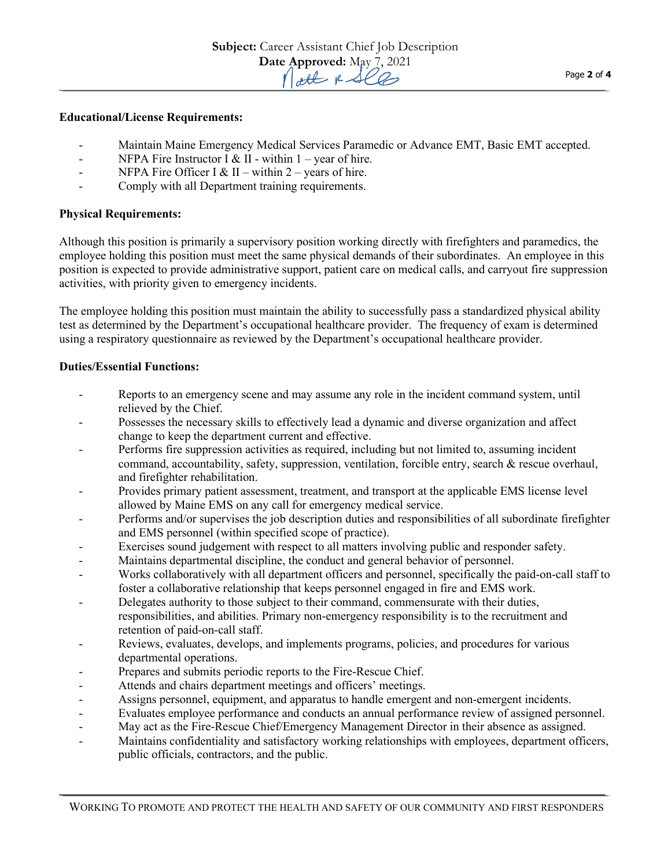#### **Educational/License Requirements:**

- Maintain Maine Emergency Medical Services Paramedic or Advance EMT, Basic EMT accepted.
- NFPA Fire Instructor I & II within  $1 \text{vear of hire}$ .
- NFPA Fire Officer I & II within  $2$  years of hire.
- Comply with all Department training requirements.

#### **Physical Requirements:**

Although this position is primarily a supervisory position working directly with firefighters and paramedics, the employee holding this position must meet the same physical demands of their subordinates. An employee in this position is expected to provide administrative support, patient care on medical calls, and carryout fire suppression activities, with priority given to emergency incidents.

The employee holding this position must maintain the ability to successfully pass a standardized physical ability test as determined by the Department's occupational healthcare provider. The frequency of exam is determined using a respiratory questionnaire as reviewed by the Department's occupational healthcare provider.

#### **Duties/Essential Functions:**

- Reports to an emergency scene and may assume any role in the incident command system, until relieved by the Chief.
- Possesses the necessary skills to effectively lead a dynamic and diverse organization and affect change to keep the department current and effective.
- Performs fire suppression activities as required, including but not limited to, assuming incident command, accountability, safety, suppression, ventilation, forcible entry, search & rescue overhaul, and firefighter rehabilitation.
- Provides primary patient assessment, treatment, and transport at the applicable EMS license level allowed by Maine EMS on any call for emergency medical service.
- Performs and/or supervises the job description duties and responsibilities of all subordinate firefighter and EMS personnel (within specified scope of practice).
- Exercises sound judgement with respect to all matters involving public and responder safety.
- Maintains departmental discipline, the conduct and general behavior of personnel.
- Works collaboratively with all department officers and personnel, specifically the paid-on-call staff to foster a collaborative relationship that keeps personnel engaged in fire and EMS work.
- Delegates authority to those subject to their command, commensurate with their duties, responsibilities, and abilities. Primary non-emergency responsibility is to the recruitment and retention of paid-on-call staff.
- Reviews, evaluates, develops, and implements programs, policies, and procedures for various departmental operations.
- Prepares and submits periodic reports to the Fire-Rescue Chief.
- Attends and chairs department meetings and officers' meetings.
- Assigns personnel, equipment, and apparatus to handle emergent and non-emergent incidents.
- Evaluates employee performance and conducts an annual performance review of assigned personnel.
- May act as the Fire-Rescue Chief/Emergency Management Director in their absence as assigned.
- Maintains confidentiality and satisfactory working relationships with employees, department officers, public officials, contractors, and the public.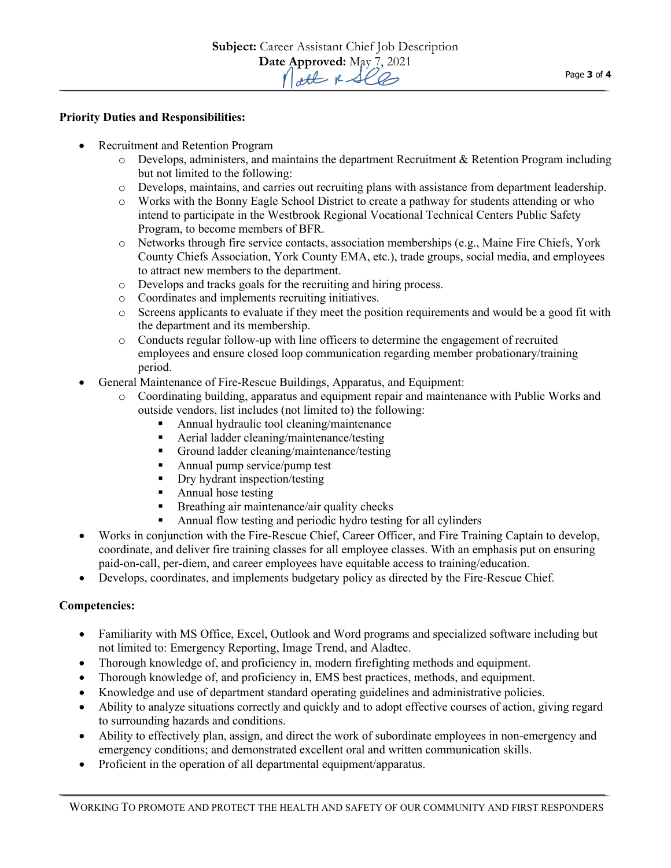#### **Priority Duties and Responsibilities:**

- Recruitment and Retention Program
	- $\circ$  Develops, administers, and maintains the department Recruitment & Retention Program including but not limited to the following:
	- o Develops, maintains, and carries out recruiting plans with assistance from department leadership.
	- o Works with the Bonny Eagle School District to create a pathway for students attending or who intend to participate in the Westbrook Regional Vocational Technical Centers Public Safety Program, to become members of BFR.
	- o Networks through fire service contacts, association memberships (e.g., Maine Fire Chiefs, York County Chiefs Association, York County EMA, etc.), trade groups, social media, and employees to attract new members to the department.
	- o Develops and tracks goals for the recruiting and hiring process.
	- o Coordinates and implements recruiting initiatives.
	- o Screens applicants to evaluate if they meet the position requirements and would be a good fit with the department and its membership.
	- o Conducts regular follow-up with line officers to determine the engagement of recruited employees and ensure closed loop communication regarding member probationary/training period.
- General Maintenance of Fire-Rescue Buildings, Apparatus, and Equipment:
	- o Coordinating building, apparatus and equipment repair and maintenance with Public Works and outside vendors, list includes (not limited to) the following:
		- **Annual hydraulic tool cleaning/maintenance**
		- Aerial ladder cleaning/maintenance/testing
		- Ground ladder cleaning/maintenance/testing
		- Annual pump service/pump test
		- Dry hydrant inspection/testing
		- Annual hose testing<br>• Breathing air mainte
		- Breathing air maintenance/air quality checks
		- Annual flow testing and periodic hydro testing for all cylinders
- Works in conjunction with the Fire-Rescue Chief, Career Officer, and Fire Training Captain to develop, coordinate, and deliver fire training classes for all employee classes. With an emphasis put on ensuring paid-on-call, per-diem, and career employees have equitable access to training/education.
- Develops, coordinates, and implements budgetary policy as directed by the Fire-Rescue Chief.

## **Competencies:**

- Familiarity with MS Office, Excel, Outlook and Word programs and specialized software including but not limited to: Emergency Reporting, Image Trend, and Aladtec.
- Thorough knowledge of, and proficiency in, modern firefighting methods and equipment.
- Thorough knowledge of, and proficiency in, EMS best practices, methods, and equipment.
- Knowledge and use of department standard operating guidelines and administrative policies.
- Ability to analyze situations correctly and quickly and to adopt effective courses of action, giving regard to surrounding hazards and conditions.
- Ability to effectively plan, assign, and direct the work of subordinate employees in non-emergency and emergency conditions; and demonstrated excellent oral and written communication skills.
- Proficient in the operation of all departmental equipment/apparatus.